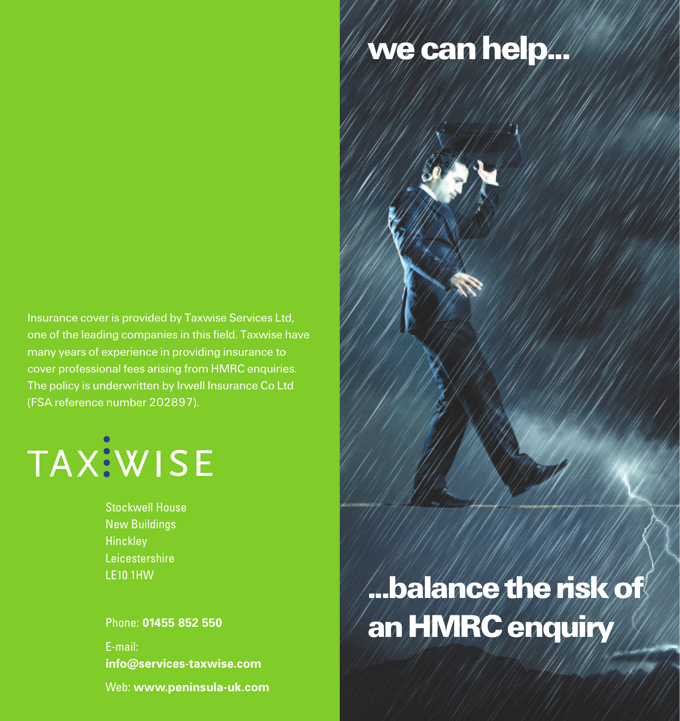## **wecanhelp...**

Insurance cover is provided by Taxwise Services Ltd, one of the leading companies in this field. Taxwise have many years of experience in providing insurance to cover professional fees arising from HMRC enquiries. The policy is underwritten by Irwell Insurance Co Ltd (FSA reference number 202897).



Stockwell House New Buildings **Hinckley** Leicestershire LE10 1HW

Phone: **01455 852 550**

E-mail: **info@services-taxwise.com**

Web: **www.peninsula-uk.com**

# **...balancetheriskof anHMRCenquiry**